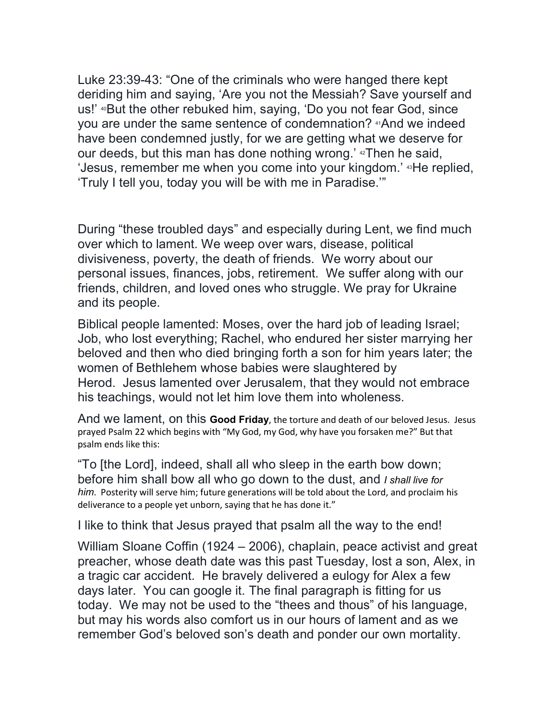Luke 23:39-43: "One of the criminals who were hanged there kept deriding him and saying, 'Are you not the Messiah? Save yourself and us!' <sup>40</sup>But the other rebuked him, saying, 'Do you not fear God, since you are under the same sentence of condemnation? 41And we indeed have been condemned justly, for we are getting what we deserve for our deeds, but this man has done nothing wrong.' 42Then he said, 'Jesus, remember me when you come into your kingdom.' 43He replied, 'Truly I tell you, today you will be with me in Paradise.'"

During "these troubled days" and especially during Lent, we find much over which to lament. We weep over wars, disease, political divisiveness, poverty, the death of friends. We worry about our personal issues, finances, jobs, retirement. We suffer along with our friends, children, and loved ones who struggle. We pray for Ukraine and its people.

Biblical people lamented: Moses, over the hard job of leading Israel; Job, who lost everything; Rachel, who endured her sister marrying her beloved and then who died bringing forth a son for him years later; the women of Bethlehem whose babies were slaughtered by Herod. Jesus lamented over Jerusalem, that they would not embrace his teachings, would not let him love them into wholeness.

And we lament, on this **Good Friday**, the torture and death of our beloved Jesus. Jesus prayed Psalm 22 which begins with "My God, my God, why have you forsaken me?" But that psalm ends like this:

"To [the Lord], indeed, shall all who sleep in the earth bow down; before him shall bow all who go down to the dust, and *I shall live for him*. Posterity will serve him; future generations will be told about the Lord, and proclaim his deliverance to a people yet unborn, saying that he has done it."

I like to think that Jesus prayed that psalm all the way to the end!

William Sloane Coffin (1924 – 2006), chaplain, peace activist and great preacher, whose death date was this past Tuesday, lost a son, Alex, in a tragic car accident. He bravely delivered a eulogy for Alex a few days later. You can google it. The final paragraph is fitting for us today. We may not be used to the "thees and thous" of his language, but may his words also comfort us in our hours of lament and as we remember God's beloved son's death and ponder our own mortality.